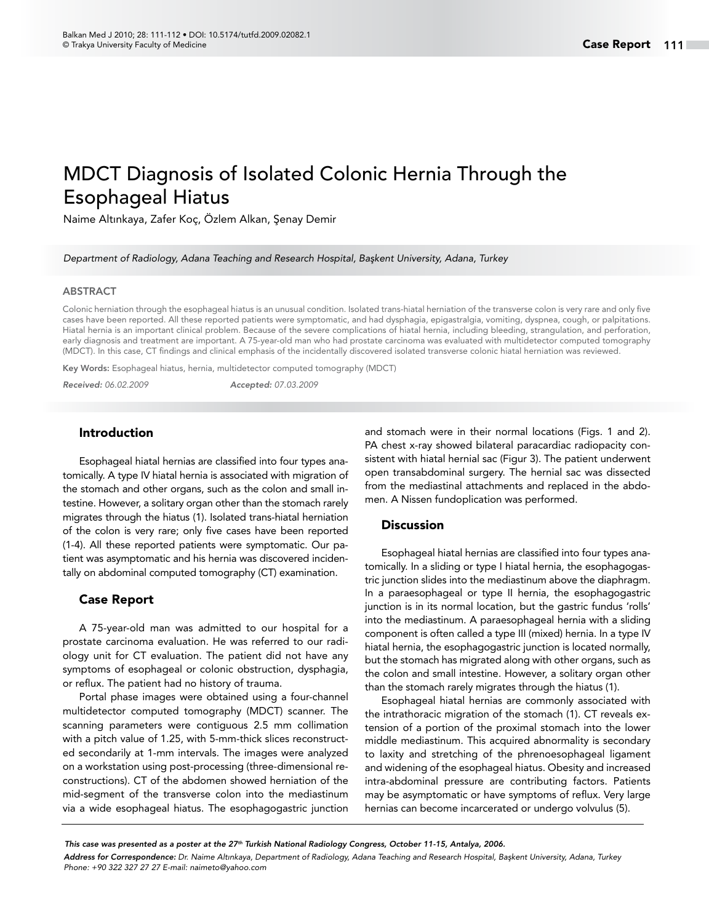# MDCT Diagnosis of Isolated Colonic Hernia Through the Esophageal Hiatus

Naime Altınkaya, Zafer Koç, Özlem Alkan, Şenay Demir

*Department of Radiology, Adana Teaching and Research Hospital, Başkent University, Adana, Turkey*

#### **ARSTRACT**

Colonic herniation through the esophageal hiatus is an unusual condition. Isolated trans-hiatal herniation of the transverse colon is very rare and only five cases have been reported. All these reported patients were symptomatic, and had dysphagia, epigastralgia, vomiting, dyspnea, cough, or palpitations. Hiatal hernia is an important clinical problem. Because of the severe complications of hiatal hernia, including bleeding, strangulation, and perforation, early diagnosis and treatment are important. A 75-year-old man who had prostate carcinoma was evaluated with multidetector computed tomography (MDCT). In this case, CT findings and clinical emphasis of the incidentally discovered isolated transverse colonic hiatal herniation was reviewed.

Key Words: Esophageal hiatus, hernia, multidetector computed tomography (MDCT)

*Received: 06.02.2009 Accepted: 07.03.2009*

#### Introduction

Esophageal hiatal hernias are classified into four types anatomically. A type IV hiatal hernia is associated with migration of the stomach and other organs, such as the colon and small intestine. However, a solitary organ other than the stomach rarely migrates through the hiatus (1). Isolated trans-hiatal herniation of the colon is very rare; only five cases have been reported (1-4). All these reported patients were symptomatic. Our patient was asymptomatic and his hernia was discovered incidentally on abdominal computed tomography (CT) examination.

#### Case Report

A 75-year-old man was admitted to our hospital for a prostate carcinoma evaluation. He was referred to our radiology unit for CT evaluation. The patient did not have any symptoms of esophageal or colonic obstruction, dysphagia, or reflux. The patient had no history of trauma.

Portal phase images were obtained using a four-channel multidetector computed tomography (MDCT) scanner. The scanning parameters were contiguous 2.5 mm collimation with a pitch value of 1.25, with 5-mm-thick slices reconstructed secondarily at 1-mm intervals. The images were analyzed on a workstation using post-processing (three-dimensional reconstructions). CT of the abdomen showed herniation of the mid-segment of the transverse colon into the mediastinum via a wide esophageal hiatus. The esophagogastric junction and stomach were in their normal locations (Figs. 1 and 2). PA chest x-ray showed bilateral paracardiac radiopacity consistent with hiatal hernial sac (Figur 3). The patient underwent open transabdominal surgery. The hernial sac was dissected from the mediastinal attachments and replaced in the abdomen. A Nissen fundoplication was performed.

### **Discussion**

Esophageal hiatal hernias are classified into four types anatomically. In a sliding or type I hiatal hernia, the esophagogastric junction slides into the mediastinum above the diaphragm. In a paraesophageal or type II hernia, the esophagogastric junction is in its normal location, but the gastric fundus 'rolls' into the mediastinum. A paraesophageal hernia with a sliding component is often called a type III (mixed) hernia. In a type IV hiatal hernia, the esophagogastric junction is located normally, but the stomach has migrated along with other organs, such as the colon and small intestine. However, a solitary organ other than the stomach rarely migrates through the hiatus (1).

Esophageal hiatal hernias are commonly associated with the intrathoracic migration of the stomach (1). CT reveals extension of a portion of the proximal stomach into the lower middle mediastinum. This acquired abnormality is secondary to laxity and stretching of the phrenoesophageal ligament and widening of the esophageal hiatus. Obesity and increased intra-abdominal pressure are contributing factors. Patients may be asymptomatic or have symptoms of reflux. Very large hernias can become incarcerated or undergo volvulus (5).

*This case was presented as a poster at the 27th Turkish National Radiology Congress, October 11-15, Antalya, 2006.* 

*Address for Correspondence: Dr. Naime Altınkaya, Department of Radiology, Adana Teaching and Research Hospital, Başkent University, Adana, Turkey Phone: +90 322 327 27 27 E-mail: naimeto@yahoo.com*